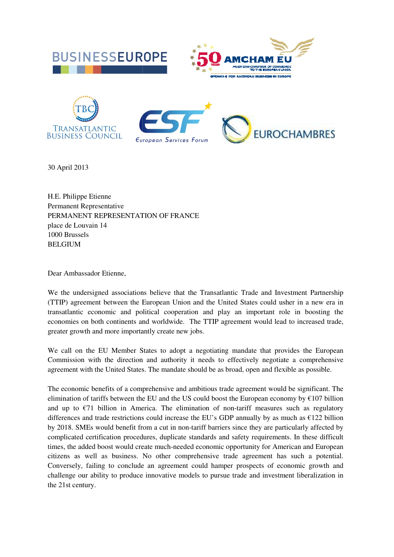

30 April 2013

H.E. Philippe Etienne Permanent Representative PERMANENT REPRESENTATION OF FRANCE place de Louvain 14 1000 Brussels BELGIUM

Dear Ambassador Etienne,

We the undersigned associations believe that the Transatlantic Trade and Investment Partnership (TTIP) agreement between the European Union and the United States could usher in a new era in transatlantic economic and political cooperation and play an important role in boosting the economies on both continents and worldwide. The TTIP agreement would lead to increased trade, greater growth and more importantly create new jobs. ) agreement between the European Union and the United States could usher in a tlantic economic and political cooperation and play an important role in b mies on both continents and worldwide. The TTIP agreement would lead

We call on the EU Member States to adopt a negotiating mandate that provides the European Commission with the direction and authority it needs to effectively negotiate a comprehensive agreement with the United States. The mandate should be as broad, open and flexible as possible.

The economic benefits of a comprehensive and ambitious trade agreement would be significant. The elimination of tariffs between the EU and the US could boost the European economy by  $\epsilon$ 107 billion and up to  $\epsilon$ 71 billion in America. The elimination of non-tariff measures such as regulatory differences and trade restrictions could increase the EU's GDP annually by as much as  $\epsilon$ 122 billion differences and trade restrictions could increase the EU's GDP annually by as much as  $\epsilon$ 122 billion by 2018. SMEs would benefit from a cut in non-tariff barriers since they are particularly affected by complicated certification procedures, duplicate standards and safety requirements. In these difficult by 2018. SMEs would benefit from a cut in non-tariff barriers since they are particularly affected by complicated certification procedures, duplicate standards and safety requirements. In these difficult times, the added b citizens as well as business. No other comprehensive trade agreement has such a potential. Conversely, failing to conclude an agreement could hamper prospects of economic growth and challenge our ability to produce innovative models to pursue trade and investment liberalization in the 21st century.